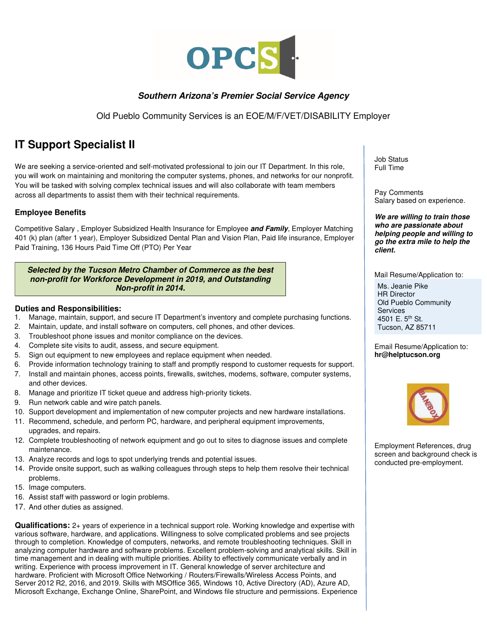

## **Southern Arizona's Premier Social Service Agency**

Old Pueblo Community Services is an EOE/M/F/VET/DISABILITY Employer

# **IT Support Specialist II**

We are seeking a service-oriented and self-motivated professional to join our IT Department. In this role, you will work on maintaining and monitoring the computer systems, phones, and networks for our nonprofit. You will be tasked with solving complex technical issues and will also collaborate with team members across all departments to assist them with their technical requirements.

## **Employee Benefits**

Competitive Salary , Employer Subsidized Health Insurance for Employee **and Family**, Employer Matching 401 (k) plan (after 1 year), Employer Subsidized Dental Plan and Vision Plan, Paid life insurance, Employer Paid Training, 136 Hours Paid Time Off (PTO) Per Year

#### **Selected by the Tucson Metro Chamber of Commerce as the best non-profit for Workforce Development in 2019, and Outstanding Non-profit in 2014.**

### **Duties and Responsibilities:**

- 1. Manage, maintain, support, and secure IT Department's inventory and complete purchasing functions.
- 2. Maintain, update, and install software on computers, cell phones, and other devices.
- 3. Troubleshoot phone issues and monitor compliance on the devices.
- 4. Complete site visits to audit, assess, and secure equipment.
- 5. Sign out equipment to new employees and replace equipment when needed.
- 6. Provide information technology training to staff and promptly respond to customer requests for support.
- 7. Install and maintain phones, access points, firewalls, switches, modems, software, computer systems, and other devices.
- 8. Manage and prioritize IT ticket queue and address high-priority tickets.
- 9. Run network cable and wire patch panels.
- 10. Support development and implementation of new computer projects and new hardware installations.
- 11. Recommend, schedule, and perform PC, hardware, and peripheral equipment improvements, upgrades, and repairs.
- 12. Complete troubleshooting of network equipment and go out to sites to diagnose issues and complete maintenance.
- 13. Analyze records and logs to spot underlying trends and potential issues.
- 14. Provide onsite support, such as walking colleagues through steps to help them resolve their technical problems.
- 15. Image computers.
- 16. Assist staff with password or login problems.
- 17. And other duties as assigned.

**Qualifications:** 2+ years of experience in a technical support role. Working knowledge and expertise with various software, hardware, and applications. Willingness to solve complicated problems and see projects through to completion. Knowledge of computers, networks, and remote troubleshooting techniques. Skill in analyzing computer hardware and software problems. Excellent problem-solving and analytical skills. Skill in time management and in dealing with multiple priorities. Ability to effectively communicate verbally and in writing. Experience with process improvement in IT. General knowledge of server architecture and hardware. Proficient with Microsoft Office Networking / Routers/Firewalls/Wireless Access Points, and Server 2012 R2, 2016, and 2019. Skills with MSOffice 365, Windows 10, Active Directory (AD), Azure AD, Microsoft Exchange, Exchange Online, SharePoint, and Windows file structure and permissions. Experience

Job Status Full Time

Pay Comments Salary based on experience.

**We are willing to train those who are passionate about helping people and willing to go the extra mile to help the client.** 

Mail Resume/Application to:

Ms. Jeanie Pike HR Director Old Pueblo Community **Services** 4501 E. 5<sup>th</sup> St. Tucson, AZ 85711

Email Resume/Application to: **hr@helptucson.org** 



Employment References, drug screen and background check is conducted pre-employment.